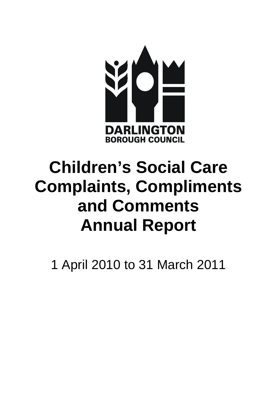

# **Complaints, Compliments Children's Social Care and Comments Annual Report**

1 April 2010 to 31 March 2011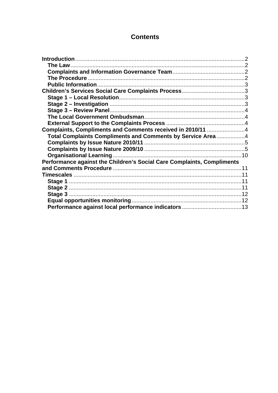# **Contents**

| Complaints, Compliments and Comments received in 2010/11 4             |  |
|------------------------------------------------------------------------|--|
| Total Complaints Compliments and Comments by Service Area4             |  |
|                                                                        |  |
|                                                                        |  |
|                                                                        |  |
| Performance against the Children's Social Care Complaints, Compliments |  |
|                                                                        |  |
|                                                                        |  |
|                                                                        |  |
|                                                                        |  |
|                                                                        |  |
|                                                                        |  |
|                                                                        |  |
|                                                                        |  |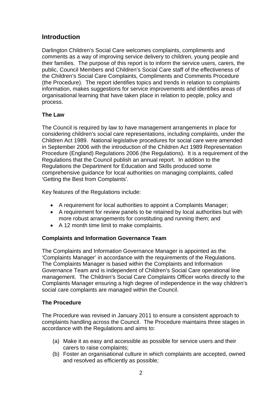# <span id="page-2-0"></span>**Introduction**

Darlington Children's Social Care welcomes complaints, compliments and comments as a way of improving service delivery to children, young people and their families. The purpose of this report is to inform the service users, carers, the public, Council Members and Children's Social Care staff of the effectiveness of the Children's Social Care Complaints, Compliments and Comments Procedure (the Procedure). The report identifies topics and trends in relation to complaints information, makes suggestions for service improvements and identifies areas of organisational learning that have taken place in relation to people, policy and process.

## <span id="page-2-1"></span>**The Law**

The Council is required by law to have management arrangements in place for considering children's social care representations, including complaints, under the Children Act 1989. National legislative procedures for social care were amended in September 2006 with the introduction of the Children Act 1989 Representation Procedure (England) Regulations 2006 (the Regulations). It is a requirement of the Regulations that the Council publish an annual report. In addition to the Regulations the Department for Education and Skills produced some comprehensive guidance for local authorities on managing complaints, called 'Getting the Best from Complaints'.

Key features of the Regulations include:

- A requirement for local authorities to appoint a Complaints Manager;
- A requirement for review panels to be retained by local authorities but with more robust arrangements for constituting and running them; and
- A 12 month time limit to make complaints.

### <span id="page-2-2"></span>**Complaints and Information Governance Team**

The Complaints and Information Governance Manager is appointed as the 'Complaints Manager' in accordance with the requirements of the Regulations. The Complaints Manager is based within the Complaints and Information Governance Team and is independent of Children's Social Care operational line management. The Children's Social Care Complaints Officer works directly to the Complaints Manager ensuring a high degree of independence in the way children's social care complaints are managed within the Council.

### <span id="page-2-3"></span>**The Procedure**

The Procedure was revised in January 2011 to ensure a consistent approach to complaints handling across the Council. The Procedure maintains three stages in accordance with the Regulations and aims to:

- (a) Make it as easy and accessible as possible for service users and their carers to raise complaints;
- (b) Foster an organisational culture in which complaints are accepted, owned and resolved as efficiently as possible;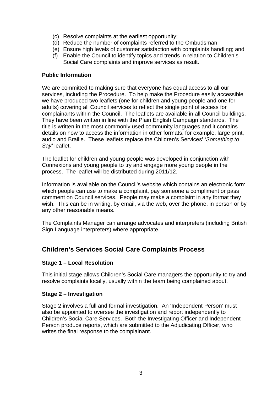- (c) Resolve complaints at the earliest opportunity;
- (d) Reduce the number of complaints referred to the Ombudsman;
- (e) Ensure high levels of customer satisfaction with complaints handling; and
- (f) Enable the Council to identify topics and trends in relation to Children's Social Care complaints and improve services as result.

#### <span id="page-3-0"></span>**Public Information**

We are committed to making sure that everyone has equal access to all our services, including the Procedure. To help make the Procedure easily accessible we have produced two leaflets (one for children and young people and one for adults) covering all Council services to reflect the single point of access for complainants within the Council. The leaflets are available in all Council buildings. They have been written in line with the Plain English Campaign standards. The title is written in the most commonly used community languages and it contains details on how to access the information in other formats, for example, large print, audio and Braille. These leaflets replace the Children's Services' '*Something to Say'* leaflet.

The leaflet for children and young people was developed in conjunction with Connexions and young people to try and engage more young people in the process. The leaflet will be distributed during 2011/12.

Information is available on the Council's website which contains an electronic form which people can use to make a complaint, pay someone a compliment or pass comment on Council services. People may make a complaint in any format they wish. This can be in writing, by email, via the web, over the phone, in person or by any other reasonable means.

The Complaints Manager can arrange advocates and interpreters (including British Sign Language interpreters) where appropriate.

# <span id="page-3-1"></span>**Children's Services Social Care Complaints Process**

#### <span id="page-3-2"></span>**Stage 1 – Local Resolution**

This initial stage allows Children's Social Care managers the opportunity to try and resolve complaints locally, usually within the team being complained about.

#### <span id="page-3-3"></span>**Stage 2 – Investigation**

Stage 2 involves a full and formal investigation. An 'Independent Person' must also be appointed to oversee the investigation and report independently to Children's Social Care Services. Both the Investigating Officer and Independent Person produce reports, which are submitted to the Adjudicating Officer, who writes the final response to the complainant.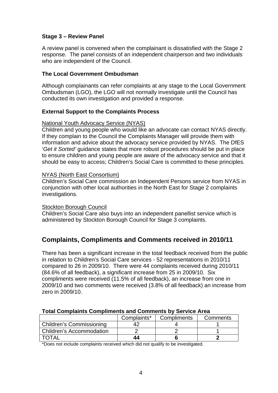### <span id="page-4-0"></span>**Stage 3 – Review Panel**

A review panel is convened when the complainant is dissatisfied with the Stage 2 response. The panel consists of an independent chairperson and two individuals who are independent of the Council.

#### <span id="page-4-1"></span>**The Local Government Ombudsman**

Although complainants can refer complaints at any stage to the Local Government Ombudsman (LGO), the LGO will not normally investigate until the Council has conducted its own investigation and provided a response.

#### <span id="page-4-2"></span>**External Support to the Complaints Process**

#### National Youth Advocacy Service (NYAS)

Children and young people who would like an advocate can contact NYAS directly. If they complain to the Council the Complaints Manager will provide them with information and advice about the advocacy service provided by NYAS. The DfES '*Get it Sorted'* guidance states that more robust procedures should be put in place to ensure children and young people are aware of the advocacy service and that it should be easy to access; Children's Social Care is committed to these principles.

#### NYAS (North East Consortium)

Children's Social Care commission an Independent Persons service from NYAS in conjunction with other local authorities in the North East for Stage 2 complaints investigations.

#### Stockton Borough Council

Children's Social Care also buys into an independent panellist service which is administered by Stockton Borough Council for Stage 3 complaints.

## <span id="page-4-3"></span>**Complaints, Compliments and Comments received in 2010/11**

There has been a significant increase in the total feedback received from the public in relation to Children's Social Care services - 52 representations in 2010/11 compared to 26 in 2009/10. There were 44 complaints received during 2010/11 (84.6% of all feedback), a significant increase from 25 in 2009/10. Six compliments were received (11.5% of all feedback), an increase from one in 2009/10 and two comments were received (3.8% of all feedback) an increase from zero in 2009/10.

<span id="page-4-4"></span>

| TULAI CUMPIANING CUMPININGING ANU CUMMICING DY DEI VICE ATEA |             |             |          |
|--------------------------------------------------------------|-------------|-------------|----------|
|                                                              | Complaints* | Compliments | Comments |
| <b>Children's Commissioning</b>                              |             |             |          |
| <b>Children's Accommodation</b>                              |             |             |          |
| <b>TOTAL</b>                                                 | 44          |             |          |

### **Total Complaints Compliments and Comments by Service Area**

\*Does not include complaints received which did not qualify to be investigated.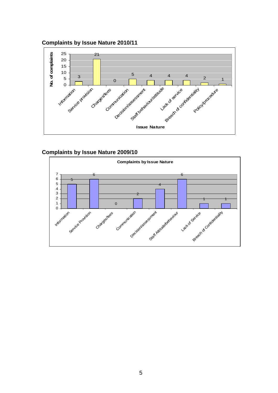<span id="page-5-0"></span>



## <span id="page-5-1"></span>**Complaints by Issue Nature 2009/10**

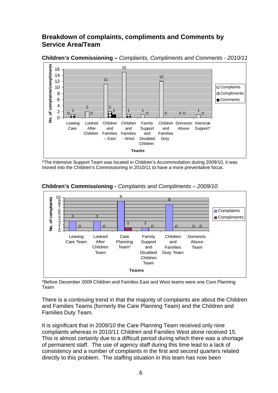# **Breakdown of complaints, compliments and Comments by Service Area/Team**



**Children's Commissioning –** *Complaints, Compliments and Comments - 2010/11* 

\*The Intensive Support Team was located in Children's Accommodation during 2009/10, it was moved into the Children's Commissioning in 2010/11 to have a more preventative focus.



**Children's Commissioning -** *Complaints and Compliments – 2009/10*

\*Before December 2009 Children and Families East and West teams were one Care Planning Team

There is a continuing trend in that the majority of complaints are about the Children and Families Teams (formerly the Care Planning Team) and the Children and Families Duty Team.

It is significant that in 2009/10 the Care Planning Team received only nine complaints whereas in 2010/11 Children and Families West alone received 15. This is almost certainly due to a difficult period during which there was a shortage of permanent staff. The use of agency staff during this time lead to a lack of consistency and a number of complaints in the first and second quarters related directly to this problem. The staffing situation in this team has now been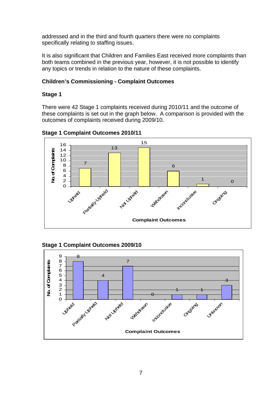addressed and in the third and fourth quarters there were no complaints specifically relating to staffing issues.

It is also significant that Children and Families East received more complaints than both teams combined in the previous year, however, it is not possible to identify any topics or trends in relation to the nature of these complaints.

## **Children's Commissioning - Complaint Outcomes**

## **Stage 1**

There were 42 Stage 1 complaints received during 2010/11 and the outcome of these complaints is set out in the graph below. A comparison is provided with the outcomes of complaints received during 2009/10.



**Stage 1 Complaint Outcomes 2010/11** 



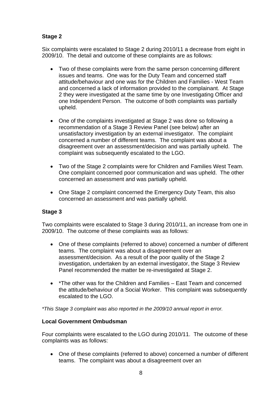## **Stage 2**

Six complaints were escalated to Stage 2 during 2010/11 a decrease from eight in 2009/10. The detail and outcome of these complaints are as follows:

- Two of these complaints were from the same person concerning different issues and teams. One was for the Duty Team and concerned staff attitude/behaviour and one was for the Children and Families - West Team and concerned a lack of information provided to the complainant. At Stage 2 they were investigated at the same time by one Investigating Officer and one Independent Person. The outcome of both complaints was partially upheld.
- One of the complaints investigated at Stage 2 was done so following a recommendation of a Stage 3 Review Panel (see below) after an unsatisfactory investigation by an external investigator. The complaint concerned a number of different teams. The complaint was about a disagreement over an assessment/decision and was partially upheld. The complaint was subsequently escalated to the LGO.
- Two of the Stage 2 complaints were for Children and Families West Team. One complaint concerned poor communication and was upheld. The other concerned an assessment and was partially upheld.
- One Stage 2 complaint concerned the Emergency Duty Team, this also concerned an assessment and was partially upheld.

### <span id="page-8-0"></span>**Stage 3**

Two complaints were escalated to Stage 3 during 2010/11, an increase from one in 2009/10. The outcome of these complaints was as follows:

- One of these complaints (referred to above) concerned a number of different teams. The complaint was about a disagreement over an assessment/decision. As a result of the poor quality of the Stage 2 investigation, undertaken by an external investigator, the Stage 3 Review Panel recommended the matter be re-investigated at Stage 2.
- \*The other was for the Children and Families East Team and concerned the attitude/behaviour of a Social Worker. This complaint was subsequently escalated to the LGO.

*\*This Stage 3 complaint was also reported in the 2009/10 annual report in error.* 

#### **Local Government Ombudsman**

Four complaints were escalated to the LGO during 2010/11. The outcome of these complaints was as follows:

 One of these complaints (referred to above) concerned a number of different teams. The complaint was about a disagreement over an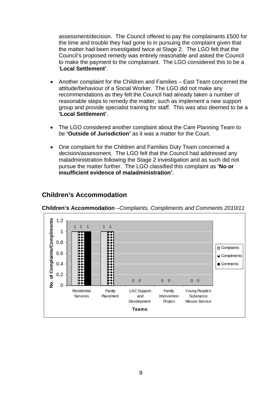assessment/decision. The Council offered to pay the complainants £500 for the time and trouble they had gone to in pursuing the complaint given that the matter had been investigated twice at Stage 2. The LGO felt that the Council's proposed remedy was entirely reasonable and asked the Council to make the payment to the complainant. The LGO considered this to be a '**Local Settlement'**.

- Another complaint for the Children and Families East Team concerned the attitude/behaviour of a Social Worker. The LGO did not make any recommendations as they felt the Council had already taken a number of reasonable steps to remedy the matter, such as implement a new support group and provide specialist training for staff. This was also deemed to be a **'Local Settlement'**.
- The LGO considered another complaint about the Care Planning Team to be **'Outside of Jurisdiction'** as it was a matter for the Court.
- One complaint for the Children and Families Duty Team concerned a decision/assessment. The LGO felt that the Council had addressed any maladministration following the Stage 2 investigation and as such did not pursue the matter further. The LGO classified this complaint as **'No or insufficient evidence of maladministration'**.



# **Children's Accommodation**

**Children's Accommodation** *–Complaints, Compliments and Comments 2010/11*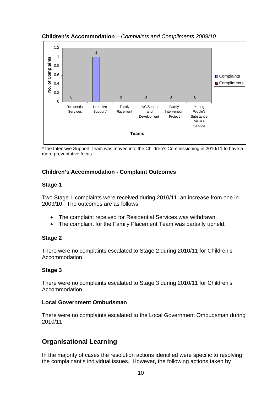## **Children's Accommodation** – *Complaints and Compliments 2009/10*



\*The Intensive Support Team was moved into the Children's Commissioning in 2010/11 to have a more preventative focus.

## **Children's Accommodation - Complaint Outcomes**

#### **Stage 1**

Two Stage 1 complaints were received during 2010/11, an increase from one in 2009/10. The outcomes are as follows:

- The complaint received for Residential Services was withdrawn.
- The complaint for the Family Placement Team was partially upheld.

#### **Stage 2**

There were no complaints escalated to Stage 2 during 2010/11 for Children's Accommodation.

#### **Stage 3**

There were no complaints escalated to Stage 3 during 2010/11 for Children's Accommodation.

### **Local Government Ombudsman**

There were no complaints escalated to the Local Government Ombudsman during 2010/11.

# <span id="page-10-0"></span>**Organisational Learning**

In the majority of cases the resolution actions identified were specific to resolving the complainant's individual issues. However, the following actions taken by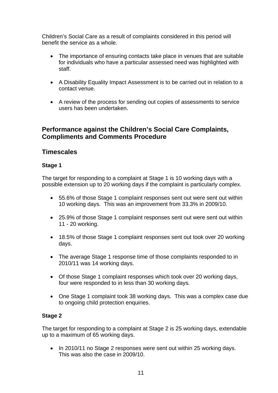Children's Social Care as a result of complaints considered in this period will benefit the service as a whole.

- The importance of ensuring contacts take place in venues that are suitable for individuals who have a particular assessed need was highlighted with staff.
- A Disability Equality Impact Assessment is to be carried out in relation to a contact venue.
- A review of the process for sending out copies of assessments to service users has been undertaken.

## <span id="page-11-0"></span>**Performance against the Children's Social Care Complaints, Compliments and Comments Procedure**

# <span id="page-11-1"></span>**Timescales**

## <span id="page-11-2"></span>**Stage 1**

The target for responding to a complaint at Stage 1 is 10 working days with a possible extension up to 20 working days if the complaint is particularly complex.

- 55.6% of those Stage 1 complaint responses sent out were sent out within 10 working days. This was an improvement from 33.3% in 2009/10.
- 25.9% of those Stage 1 complaint responses sent out were sent out within 11 - 20 working.
- 18.5% of those Stage 1 complaint responses sent out took over 20 working days.
- The average Stage 1 response time of those complaints responded to in 2010/11 was 14 working days.
- Of those Stage 1 complaint responses which took over 20 working days, four were responded to in less than 30 working days.
- One Stage 1 complaint took 38 working days. This was a complex case due to ongoing child protection enquiries.

## <span id="page-11-3"></span>**Stage 2**

The target for responding to a complaint at Stage 2 is 25 working days, extendable up to a maximum of 65 working days.

• In 2010/11 no Stage 2 responses were sent out within 25 working days. This was also the case in 2009/10.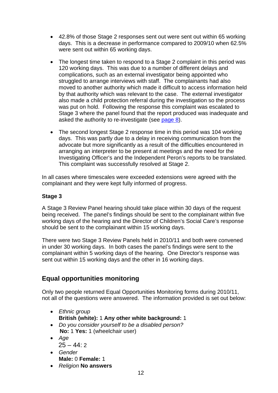- 42.8% of those Stage 2 responses sent out were sent out within 65 working days. This is a decrease in performance compared to 2009/10 when 62.5% were sent out within 65 working days.
- The longest time taken to respond to a Stage 2 complaint in this period was 120 working days. This was due to a number of different delays and complications, such as an external investigator being appointed who struggled to arrange interviews with staff. The complainants had also moved to another authority which made it difficult to access information held by that authority which was relevant to the case. The external investigator also made a child protection referral during the investigation so the process was put on hold. Following the response this complaint was escalated to Stage 3 where the panel found that the report produced was inadequate and asked the authority to re-investigate (see [page 8\)](#page-8-0).
- The second longest Stage 2 response time in this period was 104 working days. This was partly due to a delay in receiving communication from the advocate but more significantly as a result of the difficulties encountered in arranging an interpreter to be present at meetings and the need for the Investigating Officer's and the Independent Peron's reports to be translated. This complaint was successfully resolved at Stage 2.

In all cases where timescales were exceeded extensions were agreed with the complainant and they were kept fully informed of progress.

## <span id="page-12-0"></span>**Stage 3**

A Stage 3 Review Panel hearing should take place within 30 days of the request being received. The panel's findings should be sent to the complainant within five working days of the hearing and the Director of Children's Social Care's response should be sent to the complainant within 15 working days.

There were two Stage 3 Review Panels held in 2010/11 and both were convened in under 30 working days. In both cases the panel's findings were sent to the complainant within 5 working days of the hearing. One Director's response was sent out within 15 working days and the other in 16 working days.

# <span id="page-12-1"></span>**Equal opportunities monitoring**

Only two people returned Equal Opportunities Monitoring forms during 2010/11, not all of the questions were answered. The information provided is set out below:

- *Ethnic group*  **British (white):** 1 **Any other white background:** 1
- *Do you consider yourself to be a disabled person?* **No:** 1 **Yes:** 1 (wheelchair user)
- *Age*   $25 - 44:2$
- *Gender*  **Male:** 0 **Female:** 1
- *Religion* **No answers**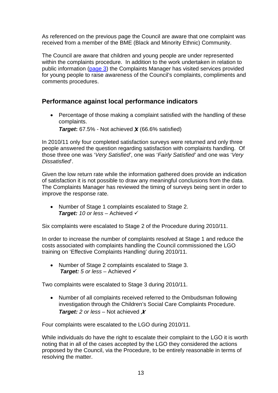As referenced on the previous page the Council are aware that one complaint was received from a member of the BME (Black and Minority Ethnic) Community.

The Council are aware that children and young people are under represented within the complaints procedure. In addition to the work undertaken in relation to public information [\(page 3\)](#page-3-0) the Complaints Manager has visited services provided for young people to raise awareness of the Council's complaints, compliments and comments procedures.

# <span id="page-13-0"></span>**Performance against local performance indicators**

 Percentage of those making a complaint satisfied with the handling of these complaints.

*Target***:** 67.5% - Not achieved *X* (66.6% satisfied)

In 2010/11 only four completed satisfaction surveys were returned and only three people answered the question regarding satisfaction with complaints handling. Of those three one was '*Very Satisfied'*, one was '*Fairly Satisfied'* and one was '*Very Dissatisfied*'.

Given the low return rate while the information gathered does provide an indication of satisfaction it is not possible to draw any meaningful conclusions from the data. The Complaints Manager has reviewed the timing of surveys being sent in order to improve the response rate.

 Number of Stage 1 complaints escalated to Stage 2. **Target:** 10 or less – Achieved ✓

Six complaints were escalated to Stage 2 of the Procedure during 2010/11.

In order to increase the number of complaints resolved at Stage 1 and reduce the costs associated with complaints handling the Council commissioned the LGO training on 'Effective Complaints Handling' during 2010/11.

• Number of Stage 2 complaints escalated to Stage 3. *Target: 5 or less* – Achieved

Two complaints were escalated to Stage 3 during 2010/11.

 Number of all complaints received referred to the Ombudsman following investigation through the Children's Social Care Complaints Procedure. *Target: 2 or less* – Not achieved *X*

Four complaints were escalated to the LGO during 2010/11.

While individuals do have the right to escalate their complaint to the LGO it is worth noting that in all of the cases accepted by the LGO they considered the actions proposed by the Council, via the Procedure, to be entirely reasonable in terms of resolving the matter.